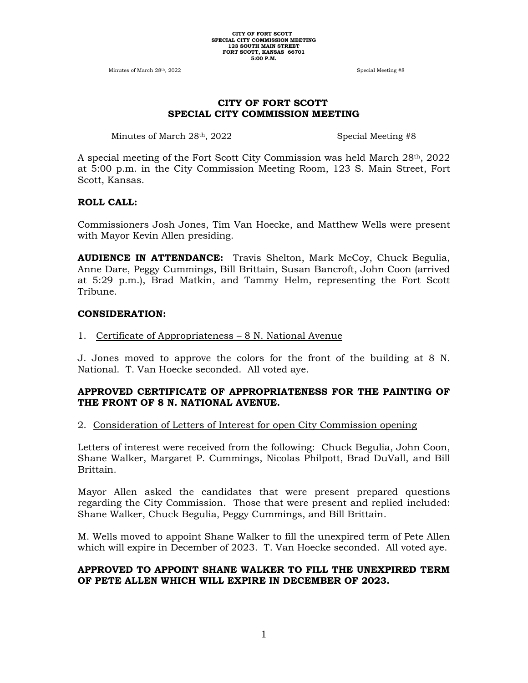Minutes of March 28<sup>th</sup>, 2022 Special Meeting #8

# **CITY OF FORT SCOTT SPECIAL CITY COMMISSION MEETING**

Minutes of March 28<sup>th</sup>, 2022 Special Meeting #8

A special meeting of the Fort Scott City Commission was held March 28th, 2022 at 5:00 p.m. in the City Commission Meeting Room, 123 S. Main Street, Fort Scott, Kansas.

# **ROLL CALL:**

Commissioners Josh Jones, Tim Van Hoecke, and Matthew Wells were present with Mayor Kevin Allen presiding.

**AUDIENCE IN ATTENDANCE:** Travis Shelton, Mark McCoy, Chuck Begulia, Anne Dare, Peggy Cummings, Bill Brittain, Susan Bancroft, John Coon (arrived at 5:29 p.m.), Brad Matkin, and Tammy Helm, representing the Fort Scott Tribune.

# **CONSIDERATION:**

1. Certificate of Appropriateness – 8 N. National Avenue

J. Jones moved to approve the colors for the front of the building at 8 N. National. T. Van Hoecke seconded. All voted aye.

# **APPROVED CERTIFICATE OF APPROPRIATENESS FOR THE PAINTING OF THE FRONT OF 8 N. NATIONAL AVENUE.**

# 2. Consideration of Letters of Interest for open City Commission opening

Letters of interest were received from the following: Chuck Begulia, John Coon, Shane Walker, Margaret P. Cummings, Nicolas Philpott, Brad DuVall, and Bill Brittain.

Mayor Allen asked the candidates that were present prepared questions regarding the City Commission. Those that were present and replied included: Shane Walker, Chuck Begulia, Peggy Cummings, and Bill Brittain.

M. Wells moved to appoint Shane Walker to fill the unexpired term of Pete Allen which will expire in December of 2023. T. Van Hoecke seconded. All voted aye.

# **APPROVED TO APPOINT SHANE WALKER TO FILL THE UNEXPIRED TERM OF PETE ALLEN WHICH WILL EXPIRE IN DECEMBER OF 2023.**